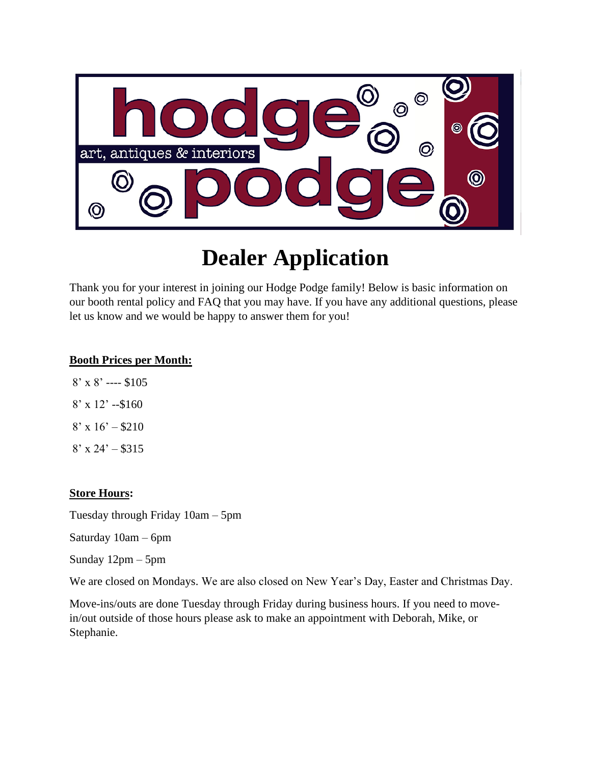

# **Dealer Application**

Thank you for your interest in joining our Hodge Podge family! Below is basic information on our booth rental policy and FAQ that you may have. If you have any additional questions, please let us know and we would be happy to answer them for you!

#### **Booth Prices per Month:**

- 8' x 8' ---- \$105
- $8'$  x 12' --\$160
- $8'$  x 16' \$210
- $8'$  x 24' \$315

#### **Store Hours:**

Tuesday through Friday 10am – 5pm

Saturday 10am – 6pm

Sunday 12pm – 5pm

We are closed on Mondays. We are also closed on New Year's Day, Easter and Christmas Day.

Move-ins/outs are done Tuesday through Friday during business hours. If you need to movein/out outside of those hours please ask to make an appointment with Deborah, Mike, or Stephanie.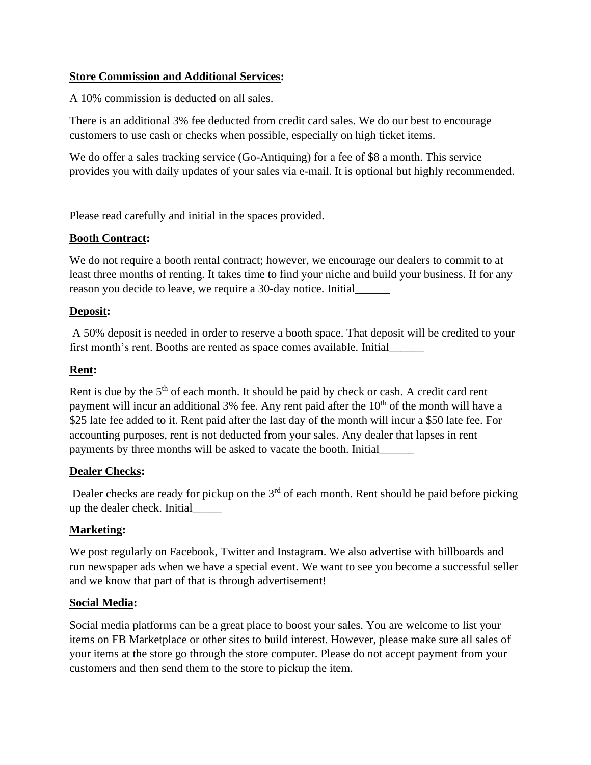#### **Store Commission and Additional Services:**

A 10% commission is deducted on all sales.

There is an additional 3% fee deducted from credit card sales. We do our best to encourage customers to use cash or checks when possible, especially on high ticket items.

We do offer a sales tracking service (Go-Antiquing) for a fee of \$8 a month. This service provides you with daily updates of your sales via e-mail. It is optional but highly recommended.

Please read carefully and initial in the spaces provided.

#### **Booth Contract:**

We do not require a booth rental contract; however, we encourage our dealers to commit to at least three months of renting. It takes time to find your niche and build your business. If for any reason you decide to leave, we require a 30-day notice. Initial\_\_\_\_\_\_

#### **Deposit:**

A 50% deposit is needed in order to reserve a booth space. That deposit will be credited to your first month's rent. Booths are rented as space comes available. Initial\_\_\_\_\_\_

#### **Rent:**

Rent is due by the  $5<sup>th</sup>$  of each month. It should be paid by check or cash. A credit card rent payment will incur an additional 3% fee. Any rent paid after the  $10<sup>th</sup>$  of the month will have a \$25 late fee added to it. Rent paid after the last day of the month will incur a \$50 late fee. For accounting purposes, rent is not deducted from your sales. Any dealer that lapses in rent payments by three months will be asked to vacate the booth. Initial\_\_\_\_\_\_

#### **Dealer Checks:**

Dealer checks are ready for pickup on the  $3<sup>rd</sup>$  of each month. Rent should be paid before picking up the dealer check. Initial\_\_\_\_\_

#### **Marketing:**

We post regularly on Facebook, Twitter and Instagram. We also advertise with billboards and run newspaper ads when we have a special event. We want to see you become a successful seller and we know that part of that is through advertisement!

#### **Social Media:**

Social media platforms can be a great place to boost your sales. You are welcome to list your items on FB Marketplace or other sites to build interest. However, please make sure all sales of your items at the store go through the store computer. Please do not accept payment from your customers and then send them to the store to pickup the item.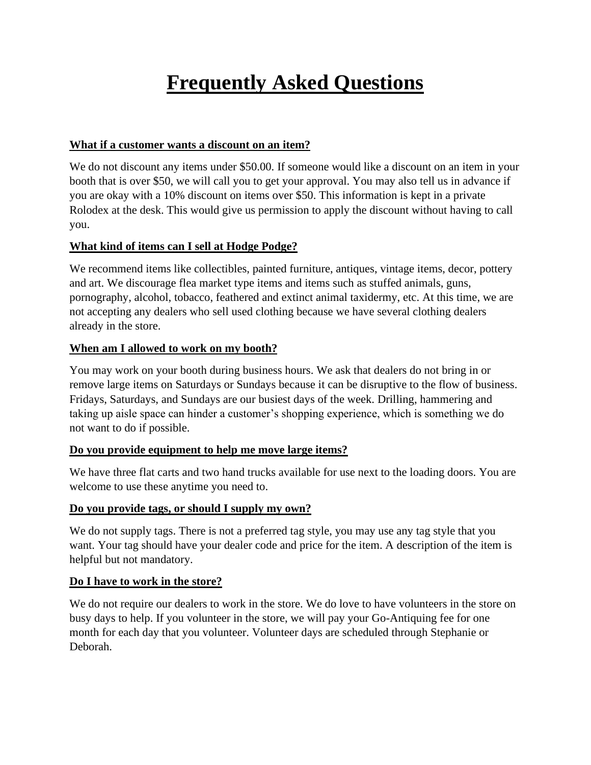## **Frequently Asked Questions**

#### **What if a customer wants a discount on an item?**

We do not discount any items under \$50.00. If someone would like a discount on an item in your booth that is over \$50, we will call you to get your approval. You may also tell us in advance if you are okay with a 10% discount on items over \$50. This information is kept in a private Rolodex at the desk. This would give us permission to apply the discount without having to call you.

#### **What kind of items can I sell at Hodge Podge?**

We recommend items like collectibles, painted furniture, antiques, vintage items, decor, pottery and art. We discourage flea market type items and items such as stuffed animals, guns, pornography, alcohol, tobacco, feathered and extinct animal taxidermy, etc. At this time, we are not accepting any dealers who sell used clothing because we have several clothing dealers already in the store.

#### **When am I allowed to work on my booth?**

You may work on your booth during business hours. We ask that dealers do not bring in or remove large items on Saturdays or Sundays because it can be disruptive to the flow of business. Fridays, Saturdays, and Sundays are our busiest days of the week. Drilling, hammering and taking up aisle space can hinder a customer's shopping experience, which is something we do not want to do if possible.

#### **Do you provide equipment to help me move large items?**

We have three flat carts and two hand trucks available for use next to the loading doors. You are welcome to use these anytime you need to.

#### **Do you provide tags, or should I supply my own?**

We do not supply tags. There is not a preferred tag style, you may use any tag style that you want. Your tag should have your dealer code and price for the item. A description of the item is helpful but not mandatory.

#### **Do I have to work in the store?**

We do not require our dealers to work in the store. We do love to have volunteers in the store on busy days to help. If you volunteer in the store, we will pay your Go-Antiquing fee for one month for each day that you volunteer. Volunteer days are scheduled through Stephanie or Deborah.